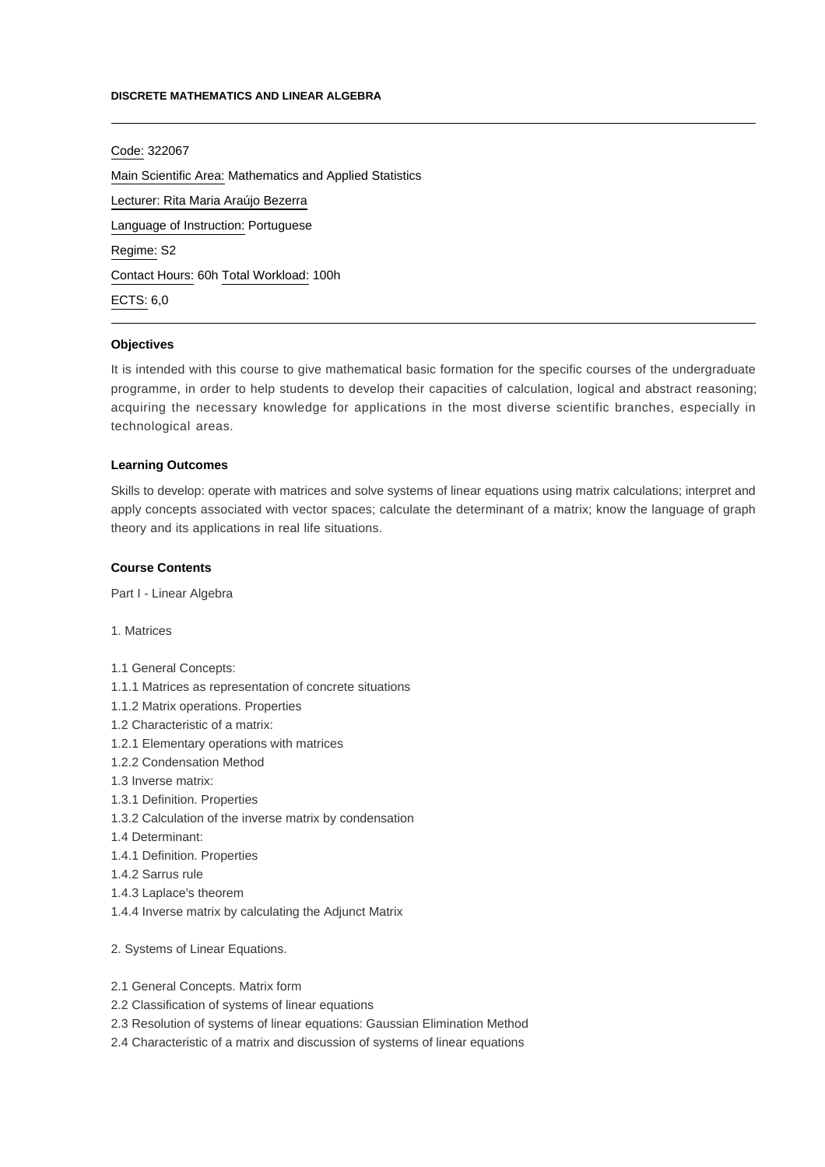#### **DISCRETE MATHEMATICS AND LINEAR ALGEBRA**

Code: 322067

Main Scientific Area: Mathematics and Applied Statistics Lecturer: [Rita Maria Araújo Bezerra](mailto:rbezerra@ipca.pt) Language of Instruction: Portuguese Regime: S2 Contact Hours: 60h Total Workload: 100h ECTS: 6,0

## **Objectives**

It is intended with this course to give mathematical basic formation for the specific courses of the undergraduate programme, in order to help students to develop their capacities of calculation, logical and abstract reasoning; acquiring the necessary knowledge for applications in the most diverse scientific branches, especially in technological areas.

# **Learning Outcomes**

Skills to develop: operate with matrices and solve systems of linear equations using matrix calculations; interpret and apply concepts associated with vector spaces; calculate the determinant of a matrix; know the language of graph theory and its applications in real life situations.

# **Course Contents**

Part I - Linear Algebra

1. Matrices

1.1 General Concepts:

- 1.1.1 Matrices as representation of concrete situations
- 1.1.2 Matrix operations. Properties
- 1.2 Characteristic of a matrix:
- 1.2.1 Elementary operations with matrices
- 1.2.2 Condensation Method
- 1.3 Inverse matrix:
- 1.3.1 Definition. Properties
- 1.3.2 Calculation of the inverse matrix by condensation
- 1.4 Determinant:
- 1.4.1 Definition. Properties
- 1.4.2 Sarrus rule
- 1.4.3 Laplace's theorem
- 1.4.4 Inverse matrix by calculating the Adjunct Matrix

2. Systems of Linear Equations.

- 2.1 General Concepts. Matrix form
- 2.2 Classification of systems of linear equations
- 2.3 Resolution of systems of linear equations: Gaussian Elimination Method
- 2.4 Characteristic of a matrix and discussion of systems of linear equations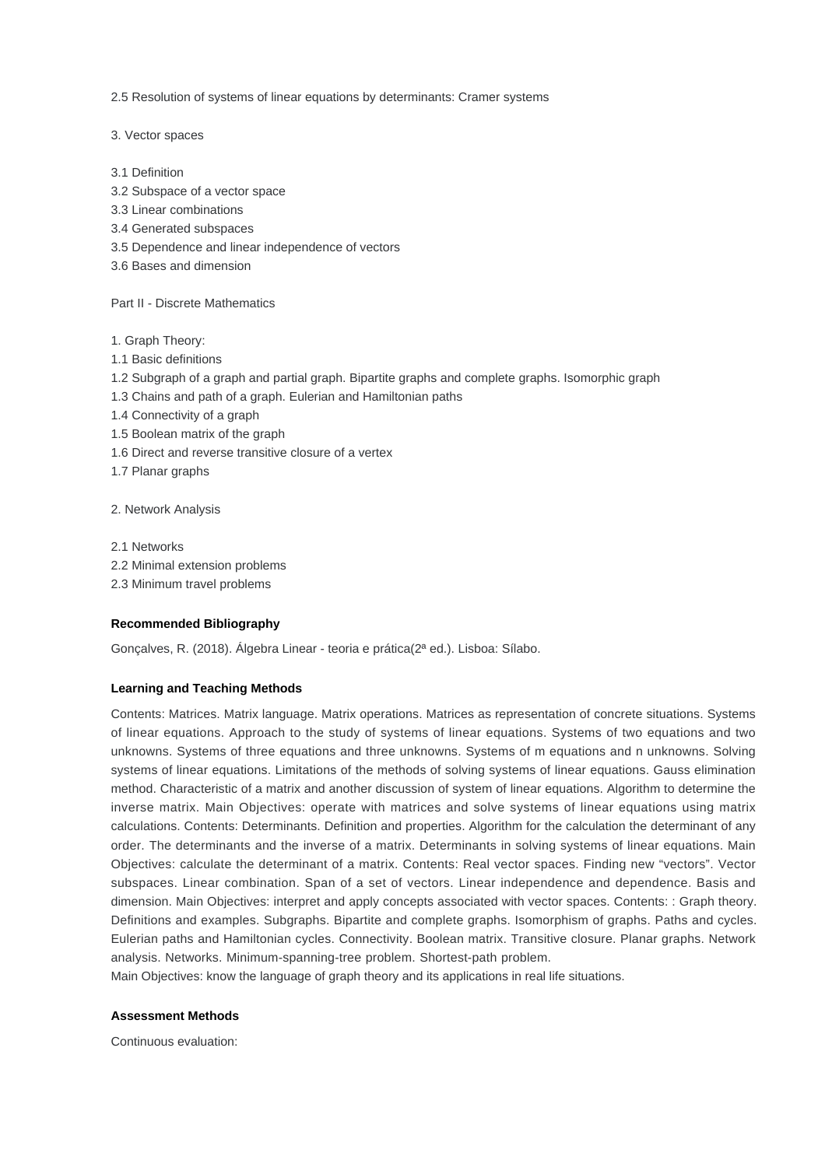2.5 Resolution of systems of linear equations by determinants: Cramer systems

- 3. Vector spaces
- 3.1 Definition
- 3.2 Subspace of a vector space
- 3.3 Linear combinations
- 3.4 Generated subspaces
- 3.5 Dependence and linear independence of vectors
- 3.6 Bases and dimension

Part II - Discrete Mathematics

- 1. Graph Theory:
- 1.1 Basic definitions
- 1.2 Subgraph of a graph and partial graph. Bipartite graphs and complete graphs. Isomorphic graph
- 1.3 Chains and path of a graph. Eulerian and Hamiltonian paths
- 1.4 Connectivity of a graph
- 1.5 Boolean matrix of the graph
- 1.6 Direct and reverse transitive closure of a vertex
- 1.7 Planar graphs

2. Network Analysis

2.1 Networks 2.2 Minimal extension problems 2.3 Minimum travel problems

### **Recommended Bibliography**

Gonçalves, R. (2018). Álgebra Linear - teoria e prática(2ª ed.). Lisboa: Sílabo.

## **Learning and Teaching Methods**

Contents: Matrices. Matrix language. Matrix operations. Matrices as representation of concrete situations. Systems of linear equations. Approach to the study of systems of linear equations. Systems of two equations and two unknowns. Systems of three equations and three unknowns. Systems of m equations and n unknowns. Solving systems of linear equations. Limitations of the methods of solving systems of linear equations. Gauss elimination method. Characteristic of a matrix and another discussion of system of linear equations. Algorithm to determine the inverse matrix. Main Objectives: operate with matrices and solve systems of linear equations using matrix calculations. Contents: Determinants. Definition and properties. Algorithm for the calculation the determinant of any order. The determinants and the inverse of a matrix. Determinants in solving systems of linear equations. Main Objectives: calculate the determinant of a matrix. Contents: Real vector spaces. Finding new "vectors". Vector subspaces. Linear combination. Span of a set of vectors. Linear independence and dependence. Basis and dimension. Main Objectives: interpret and apply concepts associated with vector spaces. Contents: : Graph theory. Definitions and examples. Subgraphs. Bipartite and complete graphs. Isomorphism of graphs. Paths and cycles. Eulerian paths and Hamiltonian cycles. Connectivity. Boolean matrix. Transitive closure. Planar graphs. Network analysis. Networks. Minimum-spanning-tree problem. Shortest-path problem.

Main Objectives: know the language of graph theory and its applications in real life situations.

### **Assessment Methods**

Continuous evaluation: